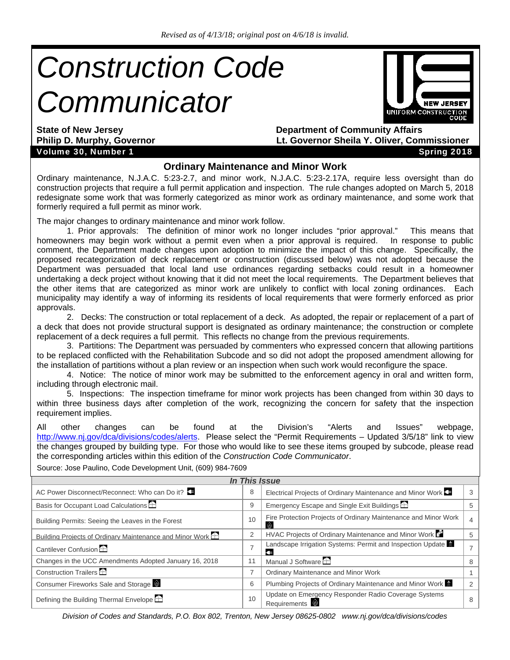# *Construction Code Communicator*



Volume 30, Number 1 Spring 2018

**State of New Jersey 2018 19 State of New Jersey 2018 19 State of New Jersey 2018 19 State of Community Affairs Philip D. Murphy, Governor Lt. Governor Sheila Y. Oliver, Commissioner** 

#### **Ordinary Maintenance and Minor Work**

Ordinary maintenance, N.J.A.C. 5:23-2.7, and minor work, N.J.A.C. 5:23-2.17A, require less oversight than do construction projects that require a full permit application and inspection. The rule changes adopted on March 5, 2018 redesignate some work that was formerly categorized as minor work as ordinary maintenance, and some work that formerly required a full permit as minor work.

The major changes to ordinary maintenance and minor work follow.

 1. Prior approvals: The definition of minor work no longer includes "prior approval." This means that homeowners may begin work without a permit even when a prior approval is required. In response to public comment, the Department made changes upon adoption to minimize the impact of this change. Specifically, the proposed recategorization of deck replacement or construction (discussed below) was not adopted because the Department was persuaded that local land use ordinances regarding setbacks could result in a homeowner undertaking a deck project without knowing that it did not meet the local requirements. The Department believes that the other items that are categorized as minor work are unlikely to conflict with local zoning ordinances. Each municipality may identify a way of informing its residents of local requirements that were formerly enforced as prior approvals.

 2. Decks: The construction or total replacement of a deck. As adopted, the repair or replacement of a part of a deck that does not provide structural support is designated as ordinary maintenance; the construction or complete replacement of a deck requires a full permit. This reflects no change from the previous requirements.

 3. Partitions: The Department was persuaded by commenters who expressed concern that allowing partitions to be replaced conflicted with the Rehabilitation Subcode and so did not adopt the proposed amendment allowing for the installation of partitions without a plan review or an inspection when such work would reconfigure the space.

 4. Notice: The notice of minor work may be submitted to the enforcement agency in oral and written form, including through electronic mail.

 5. Inspections: The inspection timeframe for minor work projects has been changed from within 30 days to within three business days after completion of the work, recognizing the concern for safety that the inspection requirement implies.

All other changes can be found at the Division's "Alerts and Issues" webpage, http://www.nj.gov/dca/divisions/codes/alerts. Please select the "Permit Requirements – Updated 3/5/18" link to view the changes grouped by building type. For those who would like to see these items grouped by subcode, please read the corresponding articles within this edition of the *Construction Code Communicator*.

| <b>In This Issue</b> |                                                                 |                                                                                                                    |  |  |  |  |  |
|----------------------|-----------------------------------------------------------------|--------------------------------------------------------------------------------------------------------------------|--|--|--|--|--|
| 8                    |                                                                 | 3                                                                                                                  |  |  |  |  |  |
| 9                    | Emergency Escape and Single Exit Buildings                      |                                                                                                                    |  |  |  |  |  |
| 10                   | Fire Protection Projects of Ordinary Maintenance and Minor Work | 4                                                                                                                  |  |  |  |  |  |
| 2                    | HVAC Projects of Ordinary Maintenance and Minor Work B          | 5                                                                                                                  |  |  |  |  |  |
|                      | Landscape Irrigation Systems: Permit and Inspection Update<br>¢ | $\overline{7}$                                                                                                     |  |  |  |  |  |
| 11                   | Manual J Software $\hat{\pm}$                                   | 8                                                                                                                  |  |  |  |  |  |
|                      | <b>Ordinary Maintenance and Minor Work</b>                      |                                                                                                                    |  |  |  |  |  |
| 6                    | Plumbing Projects of Ordinary Maintenance and Minor Work        | $\mathcal{P}$                                                                                                      |  |  |  |  |  |
| 10                   | Requirements <sup>1</sup>                                       |                                                                                                                    |  |  |  |  |  |
|                      |                                                                 | Electrical Projects of Ordinary Maintenance and Minor Work<br>Update on Emergency Responder Radio Coverage Systems |  |  |  |  |  |

Source: Jose Paulino, Code Development Unit, (609) 984-7609

*Division of Codes and Standards, P.O. Box 802, Trenton, New Jersey 08625-0802 www.nj.gov/dca/divisions/codes*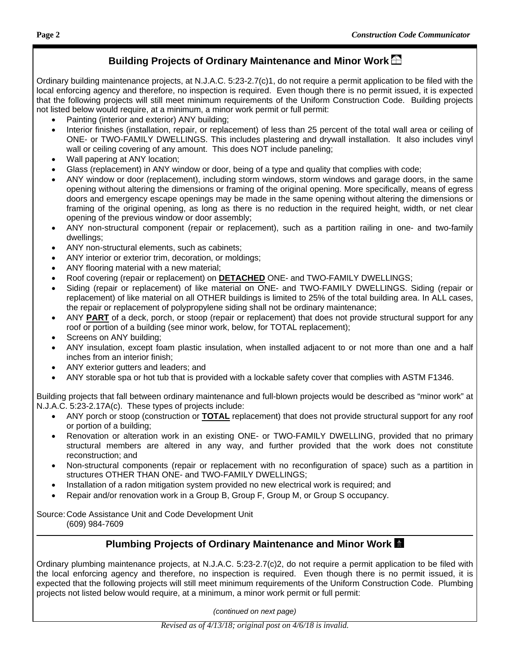## **Building Projects of Ordinary Maintenance and Minor Work**

Ordinary building maintenance projects, at N.J.A.C. 5:23-2.7(c)1, do not require a permit application to be filed with the local enforcing agency and therefore, no inspection is required. Even though there is no permit issued, it is expected that the following projects will still meet minimum requirements of the Uniform Construction Code. Building projects not listed below would require, at a minimum, a minor work permit or full permit:

- Painting (interior and exterior) ANY building;
- Interior finishes (installation, repair, or replacement) of less than 25 percent of the total wall area or ceiling of ONE- or TWO-FAMILY DWELLINGS. This includes plastering and drywall installation. It also includes vinyl wall or ceiling covering of any amount. This does NOT include paneling;
- Wall papering at ANY location;
- Glass (replacement) in ANY window or door, being of a type and quality that complies with code;
- ANY window or door (replacement), including storm windows, storm windows and garage doors, in the same opening without altering the dimensions or framing of the original opening. More specifically, means of egress doors and emergency escape openings may be made in the same opening without altering the dimensions or framing of the original opening, as long as there is no reduction in the required height, width, or net clear opening of the previous window or door assembly;
- ANY non-structural component (repair or replacement), such as a partition railing in one- and two-family dwellings;
- ANY non-structural elements, such as cabinets;
- ANY interior or exterior trim, decoration, or moldings;
- ANY flooring material with a new material;
- Roof covering (repair or replacement) on **DETACHED** ONE- and TWO-FAMILY DWELLINGS;
- Siding (repair or replacement) of like material on ONE- and TWO-FAMILY DWELLINGS. Siding (repair or replacement) of like material on all OTHER buildings is limited to 25% of the total building area. In ALL cases, the repair or replacement of polypropylene siding shall not be ordinary maintenance;
- ANY **PART** of a deck, porch, or stoop (repair or replacement) that does not provide structural support for any roof or portion of a building (see minor work, below, for TOTAL replacement);
- Screens on ANY building;
- ANY insulation, except foam plastic insulation, when installed adjacent to or not more than one and a half inches from an interior finish;
- ANY exterior gutters and leaders; and
- ANY storable spa or hot tub that is provided with a lockable safety cover that complies with ASTM F1346.

Building projects that fall between ordinary maintenance and full-blown projects would be described as "minor work" at N.J.A.C. 5:23-2.17A(c). These types of projects include:

- ANY porch or stoop (construction or **TOTAL** replacement) that does not provide structural support for any roof or portion of a building;
- Renovation or alteration work in an existing ONE- or TWO-FAMILY DWELLING, provided that no primary structural members are altered in any way, and further provided that the work does not constitute reconstruction; and
- Non-structural components (repair or replacement with no reconfiguration of space) such as a partition in structures OTHER THAN ONE- and TWO-FAMILY DWELLINGS;
- Installation of a radon mitigation system provided no new electrical work is required; and
- Repair and/or renovation work in a Group B, Group F, Group M, or Group S occupancy.

Source: Code Assistance Unit and Code Development Unit (609) 984-7609

#### **Plumbing Projects of Ordinary Maintenance and Minor Work**

Ordinary plumbing maintenance projects, at N.J.A.C. 5:23-2.7(c)2, do not require a permit application to be filed with the local enforcing agency and therefore, no inspection is required. Even though there is no permit issued, it is expected that the following projects will still meet minimum requirements of the Uniform Construction Code. Plumbing projects not listed below would require, at a minimum, a minor work permit or full permit:

*(continued on next page)*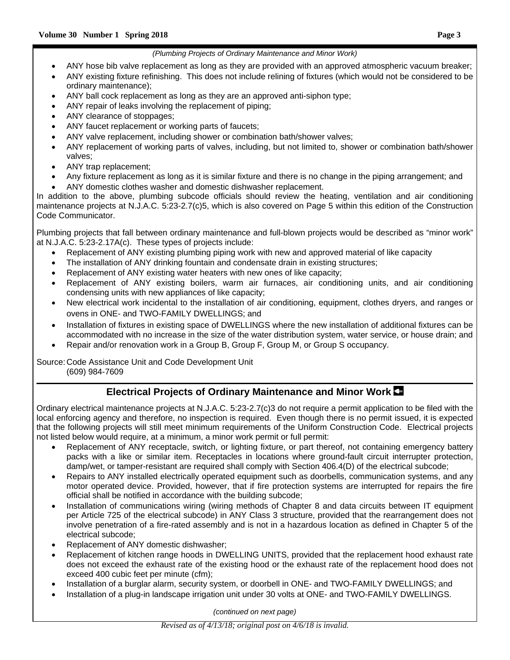#### *(Plumbing Projects of Ordinary Maintenance and Minor Work)*

- ANY hose bib valve replacement as long as they are provided with an approved atmospheric vacuum breaker;
- ANY existing fixture refinishing. This does not include relining of fixtures (which would not be considered to be ordinary maintenance);
- ANY ball cock replacement as long as they are an approved anti-siphon type;
- ANY repair of leaks involving the replacement of piping;
- ANY clearance of stoppages;
- ANY faucet replacement or working parts of faucets;
- ANY valve replacement, including shower or combination bath/shower valves;
- ANY replacement of working parts of valves, including, but not limited to, shower or combination bath/shower valves;
- ANY trap replacement;
- Any fixture replacement as long as it is similar fixture and there is no change in the piping arrangement; and
- ANY domestic clothes washer and domestic dishwasher replacement.

In addition to the above, plumbing subcode officials should review the heating, ventilation and air conditioning maintenance projects at N.J.A.C. 5:23-2.7(c)5, which is also covered on Page 5 within this edition of the Construction Code Communicator.

Plumbing projects that fall between ordinary maintenance and full-blown projects would be described as "minor work" at N.J.A.C. 5:23-2.17A(c). These types of projects include:

- Replacement of ANY existing plumbing piping work with new and approved material of like capacity
- The installation of ANY drinking fountain and condensate drain in existing structures;
- Replacement of ANY existing water heaters with new ones of like capacity;
- Replacement of ANY existing boilers, warm air furnaces, air conditioning units, and air conditioning condensing units with new appliances of like capacity;
- New electrical work incidental to the installation of air conditioning, equipment, clothes dryers, and ranges or ovens in ONE- and TWO-FAMILY DWELLINGS; and
- Installation of fixtures in existing space of DWELLINGS where the new installation of additional fixtures can be accommodated with no increase in the size of the water distribution system, water service, or house drain; and
- Repair and/or renovation work in a Group B, Group F, Group M, or Group S occupancy.

Source: Code Assistance Unit and Code Development Unit (609) 984-7609

## **Electrical Projects of Ordinary Maintenance and Minor Work**

Ordinary electrical maintenance projects at N.J.A.C. 5:23-2.7(c)3 do not require a permit application to be filed with the local enforcing agency and therefore, no inspection is required. Even though there is no permit issued, it is expected that the following projects will still meet minimum requirements of the Uniform Construction Code. Electrical projects not listed below would require, at a minimum, a minor work permit or full permit:

- Replacement of ANY receptacle, switch, or lighting fixture, or part thereof, not containing emergency battery packs with a like or similar item. Receptacles in locations where ground-fault circuit interrupter protection, damp/wet, or tamper-resistant are required shall comply with Section 406.4(D) of the electrical subcode;
- Repairs to ANY installed electrically operated equipment such as doorbells, communication systems, and any motor operated device. Provided, however, that if fire protection systems are interrupted for repairs the fire official shall be notified in accordance with the building subcode;
- Installation of communications wiring (wiring methods of Chapter 8 and data circuits between IT equipment per Article 725 of the electrical subcode) in ANY Class 3 structure, provided that the rearrangement does not involve penetration of a fire-rated assembly and is not in a hazardous location as defined in Chapter 5 of the electrical subcode;
- Replacement of ANY domestic dishwasher;
- Replacement of kitchen range hoods in DWELLING UNITS, provided that the replacement hood exhaust rate does not exceed the exhaust rate of the existing hood or the exhaust rate of the replacement hood does not exceed 400 cubic feet per minute (cfm);
- Installation of a burglar alarm, security system, or doorbell in ONE- and TWO-FAMILY DWELLINGS; and
- Installation of a plug-in landscape irrigation unit under 30 volts at ONE- and TWO-FAMILY DWELLINGS.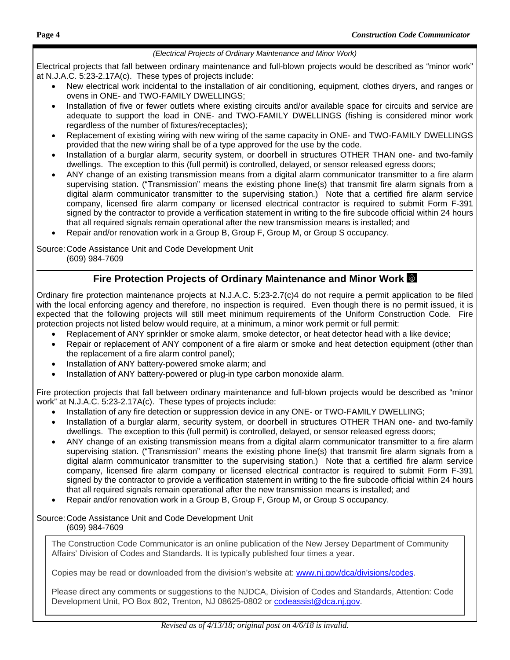#### *(Electrical Projects of Ordinary Maintenance and Minor Work)*

Electrical projects that fall between ordinary maintenance and full-blown projects would be described as "minor work" at N.J.A.C. 5:23-2.17A(c). These types of projects include:

- New electrical work incidental to the installation of air conditioning, equipment, clothes dryers, and ranges or ovens in ONE- and TWO-FAMILY DWELLINGS;
- Installation of five or fewer outlets where existing circuits and/or available space for circuits and service are adequate to support the load in ONE- and TWO-FAMILY DWELLINGS (fishing is considered minor work regardless of the number of fixtures/receptacles);
- Replacement of existing wiring with new wiring of the same capacity in ONE- and TWO-FAMILY DWELLINGS provided that the new wiring shall be of a type approved for the use by the code.
- Installation of a burglar alarm, security system, or doorbell in structures OTHER THAN one- and two-family dwellings. The exception to this (full permit) is controlled, delayed, or sensor released egress doors;
- ANY change of an existing transmission means from a digital alarm communicator transmitter to a fire alarm supervising station. ("Transmission" means the existing phone line(s) that transmit fire alarm signals from a digital alarm communicator transmitter to the supervising station.) Note that a certified fire alarm service company, licensed fire alarm company or licensed electrical contractor is required to submit Form F-391 signed by the contractor to provide a verification statement in writing to the fire subcode official within 24 hours that all required signals remain operational after the new transmission means is installed; and
- Repair and/or renovation work in a Group B, Group F, Group M, or Group S occupancy.

Source: Code Assistance Unit and Code Development Unit (609) 984-7609

#### **Fire Protection Projects of Ordinary Maintenance and Minor Work**

Ordinary fire protection maintenance projects at N.J.A.C. 5:23-2.7(c)4 do not require a permit application to be filed with the local enforcing agency and therefore, no inspection is required. Even though there is no permit issued, it is expected that the following projects will still meet minimum requirements of the Uniform Construction Code. Fire protection projects not listed below would require, at a minimum, a minor work permit or full permit:

- Replacement of ANY sprinkler or smoke alarm, smoke detector, or heat detector head with a like device;
- Repair or replacement of ANY component of a fire alarm or smoke and heat detection equipment (other than the replacement of a fire alarm control panel);
- Installation of ANY battery-powered smoke alarm; and
- Installation of ANY battery-powered or plug-in type carbon monoxide alarm.

Fire protection projects that fall between ordinary maintenance and full-blown projects would be described as "minor work" at N.J.A.C. 5:23-2.17A(c). These types of projects include:

- Installation of any fire detection or suppression device in any ONE- or TWO-FAMILY DWELLING;
- Installation of a burglar alarm, security system, or doorbell in structures OTHER THAN one- and two-family dwellings. The exception to this (full permit) is controlled, delayed, or sensor released egress doors;
- ANY change of an existing transmission means from a digital alarm communicator transmitter to a fire alarm supervising station. ("Transmission" means the existing phone line(s) that transmit fire alarm signals from a digital alarm communicator transmitter to the supervising station.) Note that a certified fire alarm service company, licensed fire alarm company or licensed electrical contractor is required to submit Form F-391 signed by the contractor to provide a verification statement in writing to the fire subcode official within 24 hours that all required signals remain operational after the new transmission means is installed; and
- Repair and/or renovation work in a Group B, Group F, Group M, or Group S occupancy.

#### Source: Code Assistance Unit and Code Development Unit (609) 984-7609

The Construction Code Communicator is an online publication of the New Jersey Department of Community Affairs' Division of Codes and Standards. It is typically published four times a year.

Copies may be read or downloaded from the division's website at: www.nj.gov/dca/divisions/codes.

Please direct any comments or suggestions to the NJDCA, Division of Codes and Standards, Attention: Code Development Unit, PO Box 802, Trenton, NJ 08625-0802 or codeassist@dca.nj.gov.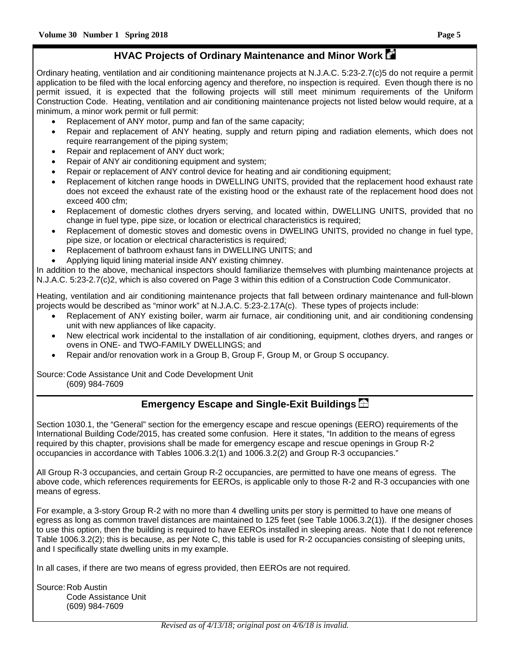# **HVAC Projects of Ordinary Maintenance and Minor Work**

Ordinary heating, ventilation and air conditioning maintenance projects at N.J.A.C. 5:23-2.7(c)5 do not require a permit application to be filed with the local enforcing agency and therefore, no inspection is required. Even though there is no permit issued, it is expected that the following projects will still meet minimum requirements of the Uniform Construction Code. Heating, ventilation and air conditioning maintenance projects not listed below would require, at a minimum, a minor work permit or full permit:

- Replacement of ANY motor, pump and fan of the same capacity;
- Repair and replacement of ANY heating, supply and return piping and radiation elements, which does not require rearrangement of the piping system;
- Repair and replacement of ANY duct work;
- Repair of ANY air conditioning equipment and system;
- Repair or replacement of ANY control device for heating and air conditioning equipment;
- Replacement of kitchen range hoods in DWELLING UNITS, provided that the replacement hood exhaust rate does not exceed the exhaust rate of the existing hood or the exhaust rate of the replacement hood does not exceed 400 cfm;
- Replacement of domestic clothes dryers serving, and located within, DWELLING UNITS, provided that no change in fuel type, pipe size, or location or electrical characteristics is required;
- Replacement of domestic stoves and domestic ovens in DWELING UNITS, provided no change in fuel type, pipe size, or location or electrical characteristics is required;
- Replacement of bathroom exhaust fans in DWELLING UNITS; and
- Applying liquid lining material inside ANY existing chimney.

In addition to the above, mechanical inspectors should familiarize themselves with plumbing maintenance projects at N.J.A.C. 5:23-2.7(c)2, which is also covered on Page 3 within this edition of a Construction Code Communicator.

Heating, ventilation and air conditioning maintenance projects that fall between ordinary maintenance and full-blown projects would be described as "minor work" at N.J.A.C. 5:23-2.17A(c). These types of projects include:

- Replacement of ANY existing boiler, warm air furnace, air conditioning unit, and air conditioning condensing unit with new appliances of like capacity.
- New electrical work incidental to the installation of air conditioning, equipment, clothes dryers, and ranges or ovens in ONE- and TWO-FAMILY DWELLINGS; and
- Repair and/or renovation work in a Group B, Group F, Group M, or Group S occupancy.

Source: Code Assistance Unit and Code Development Unit (609) 984-7609

## **Emergency Escape and Single-Exit Buildings**

Section 1030.1, the "General" section for the emergency escape and rescue openings (EERO) requirements of the International Building Code/2015, has created some confusion. Here it states, "In addition to the means of egress required by this chapter, provisions shall be made for emergency escape and rescue openings in Group R-2 occupancies in accordance with Tables 1006.3.2(1) and 1006.3.2(2) and Group R-3 occupancies."

All Group R-3 occupancies, and certain Group R-2 occupancies, are permitted to have one means of egress. The above code, which references requirements for EEROs, is applicable only to those R-2 and R-3 occupancies with one means of egress.

For example, a 3-story Group R-2 with no more than 4 dwelling units per story is permitted to have one means of egress as long as common travel distances are maintained to 125 feet (see Table 1006.3.2(1)). If the designer choses to use this option, then the building is required to have EEROs installed in sleeping areas. Note that I do not reference Table 1006.3.2(2); this is because, as per Note C, this table is used for R-2 occupancies consisting of sleeping units, and I specifically state dwelling units in my example.

In all cases, if there are two means of egress provided, then EEROs are not required.

Source: Rob Austin Code Assistance Unit (609) 984-7609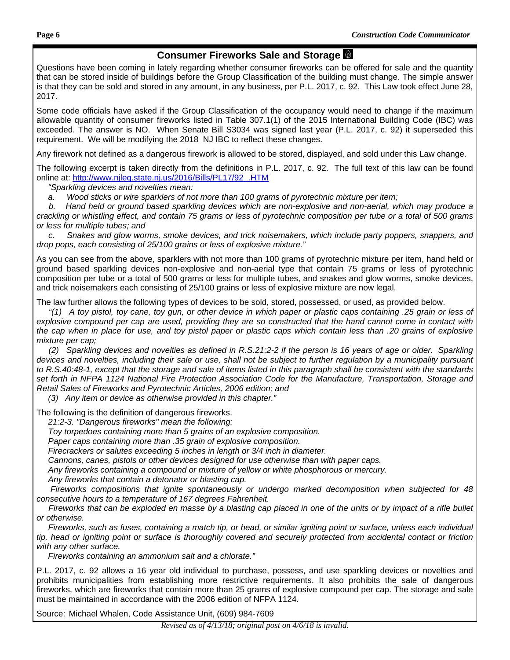## **Consumer Fireworks Sale and Storage**

Questions have been coming in lately regarding whether consumer fireworks can be offered for sale and the quantity that can be stored inside of buildings before the Group Classification of the building must change. The simple answer is that they can be sold and stored in any amount, in any business, per P.L. 2017, c. 92. This Law took effect June 28, 2017.

Some code officials have asked if the Group Classification of the occupancy would need to change if the maximum allowable quantity of consumer fireworks listed in Table 307.1(1) of the 2015 International Building Code (IBC) was exceeded. The answer is NO. When Senate Bill S3034 was signed last year (P.L. 2017, c. 92) it superseded this requirement. We will be modifying the 2018 NJ IBC to reflect these changes.

Any firework not defined as a dangerous firework is allowed to be stored, displayed, and sold under this Law change.

The following excerpt is taken directly from the definitions in P.L. 2017, c. 92. The full text of this law can be found online at: http://www.njleg.state.nj.us/2016/Bills/PL17/92\_.HTM

 *"Sparkling devices and novelties mean:* 

 *a. Wood sticks or wire sparklers of not more than 100 grams of pyrotechnic mixture per item;* 

 *b. Hand held or ground based sparkling devices which are non-explosive and non-aerial, which may produce a crackling or whistling effect, and contain 75 grams or less of pyrotechnic composition per tube or a total of 500 grams or less for multiple tubes; and* 

 *c. Snakes and glow worms, smoke devices, and trick noisemakers, which include party poppers, snappers, and drop pops, each consisting of 25/100 grains or less of explosive mixture."* 

As you can see from the above, sparklers with not more than 100 grams of pyrotechnic mixture per item, hand held or ground based sparkling devices non-explosive and non-aerial type that contain 75 grams or less of pyrotechnic composition per tube or a total of 500 grams or less for multiple tubes, and snakes and glow worms, smoke devices, and trick noisemakers each consisting of 25/100 grains or less of explosive mixture are now legal.

The law further allows the following types of devices to be sold, stored, possessed, or used, as provided below.

 *"(1) A toy pistol, toy cane, toy gun, or other device in which paper or plastic caps containing .25 grain or less of explosive compound per cap are used, providing they are so constructed that the hand cannot come in contact with the cap when in place for use, and toy pistol paper or plastic caps which contain less than .20 grains of explosive mixture per cap;* 

 *(2) Sparkling devices and novelties as defined in R.S.21:2-2 if the person is 16 years of age or older. Sparkling devices and novelties, including their sale or use, shall not be subject to further regulation by a municipality pursuant to R.S.40:48-1, except that the storage and sale of items listed in this paragraph shall be consistent with the standards set forth in NFPA 1124 National Fire Protection Association Code for the Manufacture, Transportation, Storage and Retail Sales of Fireworks and Pyrotechnic Articles, 2006 edition; and* 

 *(3) Any item or device as otherwise provided in this chapter."* 

The following is the definition of dangerous fireworks.

 *21:2-3. "Dangerous fireworks" mean the following:* 

 *Toy torpedoes containing more than 5 grains of an explosive composition.* 

 *Paper caps containing more than .35 grain of explosive composition.* 

 *Firecrackers or salutes exceeding 5 inches in length or 3/4 inch in diameter.* 

 *Cannons, canes, pistols or other devices designed for use otherwise than with paper caps.* 

 *Any fireworks containing a compound or mixture of yellow or white phosphorous or mercury.* 

 *Any fireworks that contain a detonator or blasting cap.* 

 *Fireworks compositions that ignite spontaneously or undergo marked decomposition when subjected for 48 consecutive hours to a temperature of 167 degrees Fahrenheit.* 

 *Fireworks that can be exploded en masse by a blasting cap placed in one of the units or by impact of a rifle bullet or otherwise.* 

 *Fireworks, such as fuses, containing a match tip, or head, or similar igniting point or surface, unless each individual tip, head or igniting point or surface is thoroughly covered and securely protected from accidental contact or friction with any other surface.* 

 *Fireworks containing an ammonium salt and a chlorate."* 

P.L. 2017, c. 92 allows a 16 year old individual to purchase, possess, and use sparkling devices or novelties and prohibits municipalities from establishing more restrictive requirements. It also prohibits the sale of dangerous fireworks, which are fireworks that contain more than 25 grams of explosive compound per cap. The storage and sale must be maintained in accordance with the 2006 edition of NFPA 1124.

Source: Michael Whalen, Code Assistance Unit, (609) 984-7609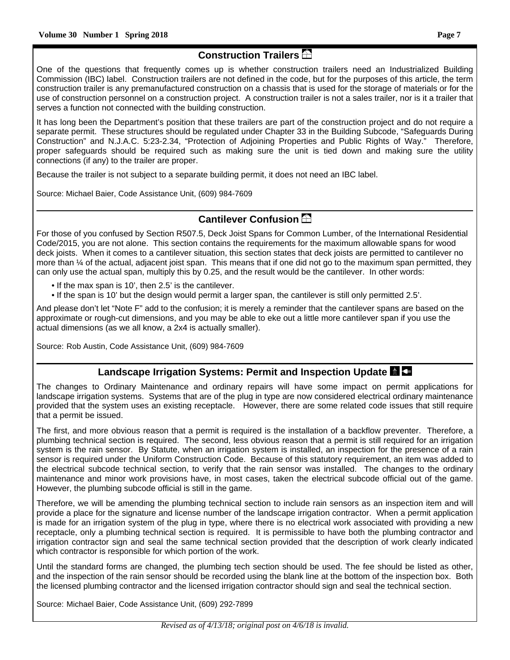# **Construction Trailers**

One of the questions that frequently comes up is whether construction trailers need an Industrialized Building Commission (IBC) label. Construction trailers are not defined in the code, but for the purposes of this article, the term construction trailer is any premanufactured construction on a chassis that is used for the storage of materials or for the use of construction personnel on a construction project. A construction trailer is not a sales trailer, nor is it a trailer that serves a function not connected with the building construction.

It has long been the Department's position that these trailers are part of the construction project and do not require a separate permit. These structures should be regulated under Chapter 33 in the Building Subcode, "Safeguards During Construction" and N.J.A.C. 5:23-2.34, "Protection of Adjoining Properties and Public Rights of Way." Therefore, proper safeguards should be required such as making sure the unit is tied down and making sure the utility connections (if any) to the trailer are proper.

Because the trailer is not subject to a separate building permit, it does not need an IBC label.

Source: Michael Baier, Code Assistance Unit, (609) 984-7609

## **Cantilever Confusion**

For those of you confused by Section R507.5, Deck Joist Spans for Common Lumber, of the International Residential Code/2015, you are not alone. This section contains the requirements for the maximum allowable spans for wood deck joists. When it comes to a cantilever situation, this section states that deck joists are permitted to cantilever no more than ¼ of the actual, adjacent joist span. This means that if one did not go to the maximum span permitted, they can only use the actual span, multiply this by 0.25, and the result would be the cantilever. In other words:

- If the max span is 10', then 2.5' is the cantilever.
- If the span is 10' but the design would permit a larger span, the cantilever is still only permitted 2.5'.

And please don't let "Note F" add to the confusion; it is merely a reminder that the cantilever spans are based on the approximate or rough-cut dimensions, and you may be able to eke out a little more cantilever span if you use the actual dimensions (as we all know, a 2x4 is actually smaller).

Source: Rob Austin, Code Assistance Unit, (609) 984-7609

#### **Landscape Irrigation Systems: Permit and Inspection Update**

The changes to Ordinary Maintenance and ordinary repairs will have some impact on permit applications for landscape irrigation systems. Systems that are of the plug in type are now considered electrical ordinary maintenance provided that the system uses an existing receptacle. However, there are some related code issues that still require that a permit be issued.

The first, and more obvious reason that a permit is required is the installation of a backflow preventer. Therefore, a plumbing technical section is required. The second, less obvious reason that a permit is still required for an irrigation system is the rain sensor. By Statute, when an irrigation system is installed, an inspection for the presence of a rain sensor is required under the Uniform Construction Code. Because of this statutory requirement, an item was added to the electrical subcode technical section, to verify that the rain sensor was installed. The changes to the ordinary maintenance and minor work provisions have, in most cases, taken the electrical subcode official out of the game. However, the plumbing subcode official is still in the game.

Therefore, we will be amending the plumbing technical section to include rain sensors as an inspection item and will provide a place for the signature and license number of the landscape irrigation contractor. When a permit application is made for an irrigation system of the plug in type, where there is no electrical work associated with providing a new receptacle, only a plumbing technical section is required. It is permissible to have both the plumbing contractor and irrigation contractor sign and seal the same technical section provided that the description of work clearly indicated which contractor is responsible for which portion of the work.

Until the standard forms are changed, the plumbing tech section should be used. The fee should be listed as other, and the inspection of the rain sensor should be recorded using the blank line at the bottom of the inspection box. Both the licensed plumbing contractor and the licensed irrigation contractor should sign and seal the technical section.

Source: Michael Baier, Code Assistance Unit, (609) 292-7899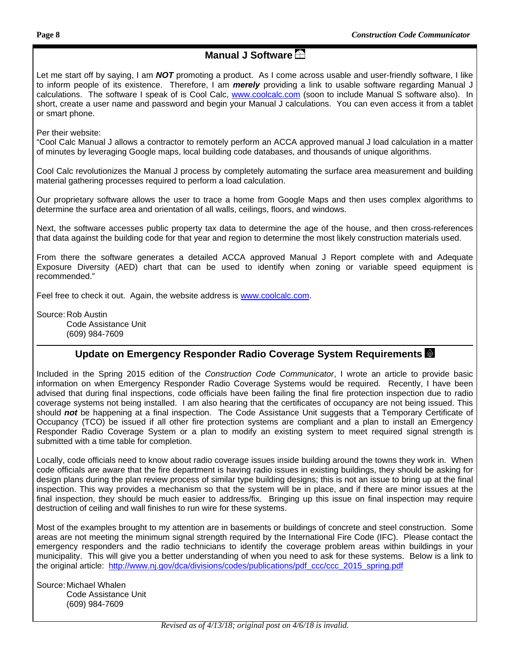# **Manual J Software**

Let me start off by saying, I am *NOT* promoting a product. As I come across usable and user-friendly software, I like to inform people of its existence. Therefore, I am *merely* providing a link to usable software regarding Manual J calculations. The software I speak of is Cool Calc, www.coolcalc.com (soon to include Manual S software also). In short, create a user name and password and begin your Manual J calculations. You can even access it from a tablet or smart phone.

Per their website:

"Cool Calc Manual J allows a contractor to remotely perform an ACCA approved manual J load calculation in a matter of minutes by leveraging Google maps, local building code databases, and thousands of unique algorithms.

Cool Calc revolutionizes the Manual J process by completely automating the surface area measurement and building material gathering processes required to perform a load calculation.

Our proprietary software allows the user to trace a home from Google Maps and then uses complex algorithms to determine the surface area and orientation of all walls, ceilings, floors, and windows.

Next, the software accesses public property tax data to determine the age of the house, and then cross-references that data against the building code for that year and region to determine the most likely construction materials used.

From there the software generates a detailed ACCA approved Manual J Report complete with and Adequate Exposure Diversity (AED) chart that can be used to identify when zoning or variable speed equipment is recommended."

Feel free to check it out. Again, the website address is www.coolcalc.com.

Source: Rob Austin Code Assistance Unit (609) 984-7609

#### **Update on Emergency Responder Radio Coverage System Requirements**

Included in the Spring 2015 edition of the *Construction Code Communicator*, I wrote an article to provide basic information on when Emergency Responder Radio Coverage Systems would be required. Recently, I have been advised that during final inspections, code officials have been failing the final fire protection inspection due to radio coverage systems not being installed. I am also hearing that the certificates of occupancy are not being issued. This should *not* be happening at a final inspection. The Code Assistance Unit suggests that a Temporary Certificate of Occupancy (TCO) be issued if all other fire protection systems are compliant and a plan to install an Emergency Responder Radio Coverage System or a plan to modify an existing system to meet required signal strength is submitted with a time table for completion.

Locally, code officials need to know about radio coverage issues inside building around the towns they work in. When code officials are aware that the fire department is having radio issues in existing buildings, they should be asking for design plans during the plan review process of similar type building designs; this is not an issue to bring up at the final inspection. This way provides a mechanism so that the system will be in place, and if there are minor issues at the final inspection, they should be much easier to address/fix. Bringing up this issue on final inspection may require destruction of ceiling and wall finishes to run wire for these systems.

Most of the examples brought to my attention are in basements or buildings of concrete and steel construction. Some areas are not meeting the minimum signal strength required by the International Fire Code (IFC). Please contact the emergency responders and the radio technicians to identify the coverage problem areas within buildings in your municipality. This will give you a better understanding of when you need to ask for these systems. Below is a link to the original article: http://www.nj.gov/dca/divisions/codes/publications/pdf ccc/ccc 2015 spring.pdf

Source: Michael Whalen Code Assistance Unit (609) 984-7609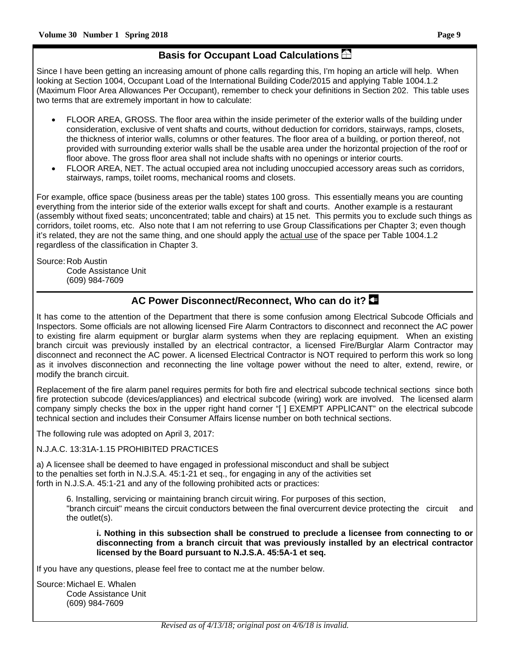## **Basis for Occupant Load Calculations**

Since I have been getting an increasing amount of phone calls regarding this, I'm hoping an article will help. When looking at Section 1004, Occupant Load of the International Building Code/2015 and applying Table 1004.1.2 (Maximum Floor Area Allowances Per Occupant), remember to check your definitions in Section 202. This table uses two terms that are extremely important in how to calculate:

- FLOOR AREA, GROSS. The floor area within the inside perimeter of the exterior walls of the building under consideration, exclusive of vent shafts and courts, without deduction for corridors, stairways, ramps, closets, the thickness of interior walls, columns or other features. The floor area of a building, or portion thereof, not provided with surrounding exterior walls shall be the usable area under the horizontal projection of the roof or floor above. The gross floor area shall not include shafts with no openings or interior courts.
- FLOOR AREA, NET. The actual occupied area not including unoccupied accessory areas such as corridors, stairways, ramps, toilet rooms, mechanical rooms and closets.

For example, office space (business areas per the table) states 100 gross. This essentially means you are counting everything from the interior side of the exterior walls except for shaft and courts. Another example is a restaurant (assembly without fixed seats; unconcentrated; table and chairs) at 15 net. This permits you to exclude such things as corridors, toilet rooms, etc. Also note that I am not referring to use Group Classifications per Chapter 3; even though it's related, they are not the same thing, and one should apply the actual use of the space per Table 1004.1.2 regardless of the classification in Chapter 3.

Source: Rob Austin Code Assistance Unit (609) 984-7609

## **AC Power Disconnect/Reconnect, Who can do it?**

It has come to the attention of the Department that there is some confusion among Electrical Subcode Officials and Inspectors. Some officials are not allowing licensed Fire Alarm Contractors to disconnect and reconnect the AC power to existing fire alarm equipment or burglar alarm systems when they are replacing equipment. When an existing branch circuit was previously installed by an electrical contractor, a licensed Fire/Burglar Alarm Contractor may disconnect and reconnect the AC power. A licensed Electrical Contractor is NOT required to perform this work so long as it involves disconnection and reconnecting the line voltage power without the need to alter, extend, rewire, or modify the branch circuit.

Replacement of the fire alarm panel requires permits for both fire and electrical subcode technical sections since both fire protection subcode (devices/appliances) and electrical subcode (wiring) work are involved. The licensed alarm company simply checks the box in the upper right hand corner "[ ] EXEMPT APPLICANT" on the electrical subcode technical section and includes their Consumer Affairs license number on both technical sections.

The following rule was adopted on April 3, 2017:

N.J.A.C. 13:31A-1.15 PROHIBITED PRACTICES

a) A licensee shall be deemed to have engaged in professional misconduct and shall be subject to the penalties set forth in N.J.S.A. 45:1-21 et seq., for engaging in any of the activities set forth in N.J.S.A. 45:1-21 and any of the following prohibited acts or practices:

 6. Installing, servicing or maintaining branch circuit wiring. For purposes of this section, "branch circuit" means the circuit conductors between the final overcurrent device protecting the circuit and the outlet(s).

 **i. Nothing in this subsection shall be construed to preclude a licensee from connecting to or disconnecting from a branch circuit that was previously installed by an electrical contractor licensed by the Board pursuant to N.J.S.A. 45:5A-1 et seq.** 

If you have any questions, please feel free to contact me at the number below.

Source: Michael E. Whalen Code Assistance Unit (609) 984-7609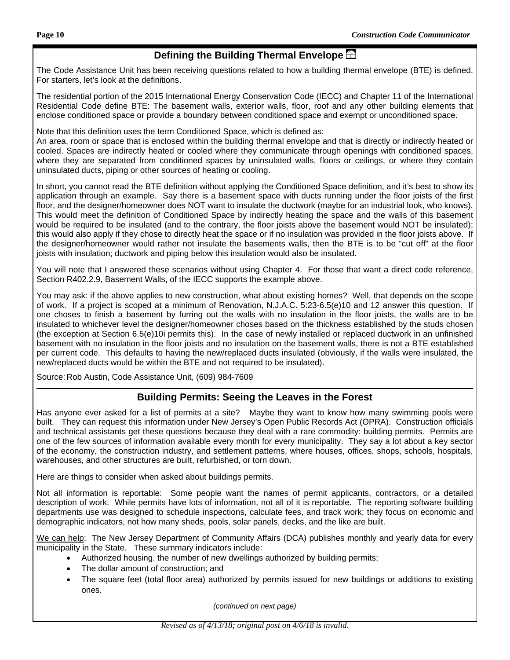# **Defining the Building Thermal Envelope**

The Code Assistance Unit has been receiving questions related to how a building thermal envelope (BTE) is defined. For starters, let's look at the definitions.

The residential portion of the 2015 International Energy Conservation Code (IECC) and Chapter 11 of the International Residential Code define BTE: The basement walls, exterior walls, floor, roof and any other building elements that enclose conditioned space or provide a boundary between conditioned space and exempt or unconditioned space.

Note that this definition uses the term Conditioned Space, which is defined as:

An area, room or space that is enclosed within the building thermal envelope and that is directly or indirectly heated or cooled. Spaces are indirectly heated or cooled where they communicate through openings with conditioned spaces, where they are separated from conditioned spaces by uninsulated walls, floors or ceilings, or where they contain uninsulated ducts, piping or other sources of heating or cooling.

In short, you cannot read the BTE definition without applying the Conditioned Space definition, and it's best to show its application through an example. Say there is a basement space with ducts running under the floor joists of the first floor, and the designer/homeowner does NOT want to insulate the ductwork (maybe for an industrial look, who knows). This would meet the definition of Conditioned Space by indirectly heating the space and the walls of this basement would be required to be insulated (and to the contrary, the floor joists above the basement would NOT be insulated); this would also apply if they chose to directly heat the space or if no insulation was provided in the floor joists above. If the designer/homeowner would rather not insulate the basements walls, then the BTE is to be "cut off" at the floor joists with insulation; ductwork and piping below this insulation would also be insulated.

You will note that I answered these scenarios without using Chapter 4. For those that want a direct code reference, Section R402.2.9, Basement Walls, of the IECC supports the example above.

You may ask: if the above applies to new construction, what about existing homes? Well, that depends on the scope of work. If a project is scoped at a minimum of Renovation, N.J.A.C. 5:23-6.5(e)10 and 12 answer this question. If one choses to finish a basement by furring out the walls with no insulation in the floor joists, the walls are to be insulated to whichever level the designer/homeowner choses based on the thickness established by the studs chosen (the exception at Section 6.5(e)10i permits this). In the case of newly installed or replaced ductwork in an unfinished basement with no insulation in the floor joists and no insulation on the basement walls, there is not a BTE established per current code. This defaults to having the new/replaced ducts insulated (obviously, if the walls were insulated, the new/replaced ducts would be within the BTE and not required to be insulated).

Source: Rob Austin, Code Assistance Unit, (609) 984-7609

## **Building Permits: Seeing the Leaves in the Forest**

Has anyone ever asked for a list of permits at a site? Maybe they want to know how many swimming pools were built. They can request this information under New Jersey's Open Public Records Act (OPRA). Construction officials and technical assistants get these questions because they deal with a rare commodity: building permits. Permits are one of the few sources of information available every month for every municipality. They say a lot about a key sector of the economy, the construction industry, and settlement patterns, where houses, offices, shops, schools, hospitals, warehouses, and other structures are built, refurbished, or torn down.

Here are things to consider when asked about buildings permits.

Not all information is reportable: Some people want the names of permit applicants, contractors, or a detailed description of work. While permits have lots of information, not all of it is reportable. The reporting software building departments use was designed to schedule inspections, calculate fees, and track work; they focus on economic and demographic indicators, not how many sheds, pools, solar panels, decks, and the like are built.

We can help: The New Jersey Department of Community Affairs (DCA) publishes monthly and yearly data for every municipality in the State. These summary indicators include:

- Authorized housing, the number of new dwellings authorized by building permits;
- The dollar amount of construction; and
- The square feet (total floor area) authorized by permits issued for new buildings or additions to existing ones.

*(continued on next page)*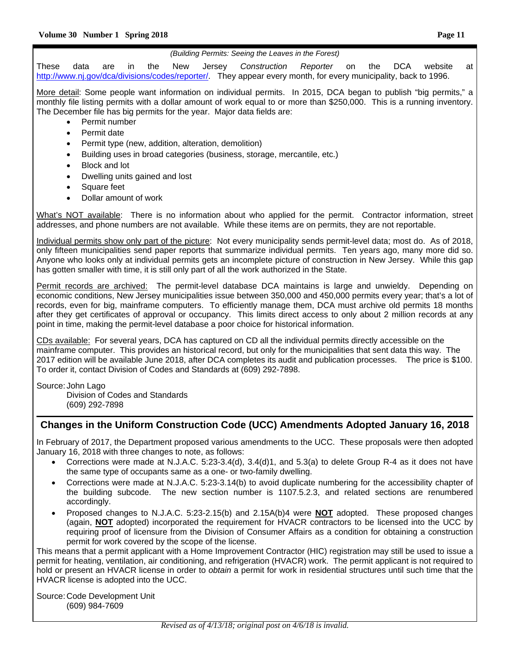#### *(Building Permits: Seeing the Leaves in the Forest)*

These data are in the New Jersey *Construction Reporter* on the DCA website at http://www.nj.gov/dca/divisions/codes/reporter/. They appear every month, for every municipality, back to 1996.

More detail: Some people want information on individual permits. In 2015, DCA began to publish "big permits," a monthly file listing permits with a dollar amount of work equal to or more than \$250,000. This is a running inventory. The December file has big permits for the year. Major data fields are:

- Permit number
- Permit date
- Permit type (new, addition, alteration, demolition)
- Building uses in broad categories (business, storage, mercantile, etc.)
- Block and lot
- Dwelling units gained and lost
- Square feet
- Dollar amount of work

What's NOT available: There is no information about who applied for the permit. Contractor information, street addresses, and phone numbers are not available. While these items are on permits, they are not reportable.

Individual permits show only part of the picture: Not every municipality sends permit-level data; most do. As of 2018, only fifteen municipalities send paper reports that summarize individual permits. Ten years ago, many more did so. Anyone who looks only at individual permits gets an incomplete picture of construction in New Jersey. While this gap has gotten smaller with time, it is still only part of all the work authorized in the State.

Permit records are archived: The permit-level database DCA maintains is large and unwieldy. Depending on economic conditions, New Jersey municipalities issue between 350,000 and 450,000 permits every year; that's a lot of records, even for big, mainframe computers. To efficiently manage them, DCA must archive old permits 18 months after they get certificates of approval or occupancy. This limits direct access to only about 2 million records at any point in time, making the permit-level database a poor choice for historical information.

CDs available: For several years, DCA has captured on CD all the individual permits directly accessible on the mainframe computer. This provides an historical record, but only for the municipalities that sent data this way. The 2017 edition will be available June 2018, after DCA completes its audit and publication processes. The price is \$100. To order it, contact Division of Codes and Standards at (609) 292-7898.

Source: John Lago Division of Codes and Standards (609) 292-7898

#### **Changes in the Uniform Construction Code (UCC) Amendments Adopted January 16, 2018**

In February of 2017, the Department proposed various amendments to the UCC. These proposals were then adopted January 16, 2018 with three changes to note, as follows:

- Corrections were made at N.J.A.C. 5:23-3.4(d), 3.4(d)1, and 5.3(a) to delete Group R-4 as it does not have the same type of occupants same as a one- or two-family dwelling.
- Corrections were made at N.J.A.C. 5:23-3.14(b) to avoid duplicate numbering for the accessibility chapter of the building subcode. The new section number is 1107.5.2.3, and related sections are renumbered accordingly.
- Proposed changes to N.J.A.C. 5:23-2.15(b) and 2.15A(b)4 were **NOT** adopted. These proposed changes (again, **NOT** adopted) incorporated the requirement for HVACR contractors to be licensed into the UCC by requiring proof of licensure from the Division of Consumer Affairs as a condition for obtaining a construction permit for work covered by the scope of the license.

This means that a permit applicant with a Home Improvement Contractor (HIC) registration may still be used to issue a permit for heating, ventilation, air conditioning, and refrigeration (HVACR) work. The permit applicant is not required to hold or present an HVACR license in order to *obtain* a permit for work in residential structures until such time that the HVACR license is adopted into the UCC.

Source: Code Development Unit (609) 984-7609